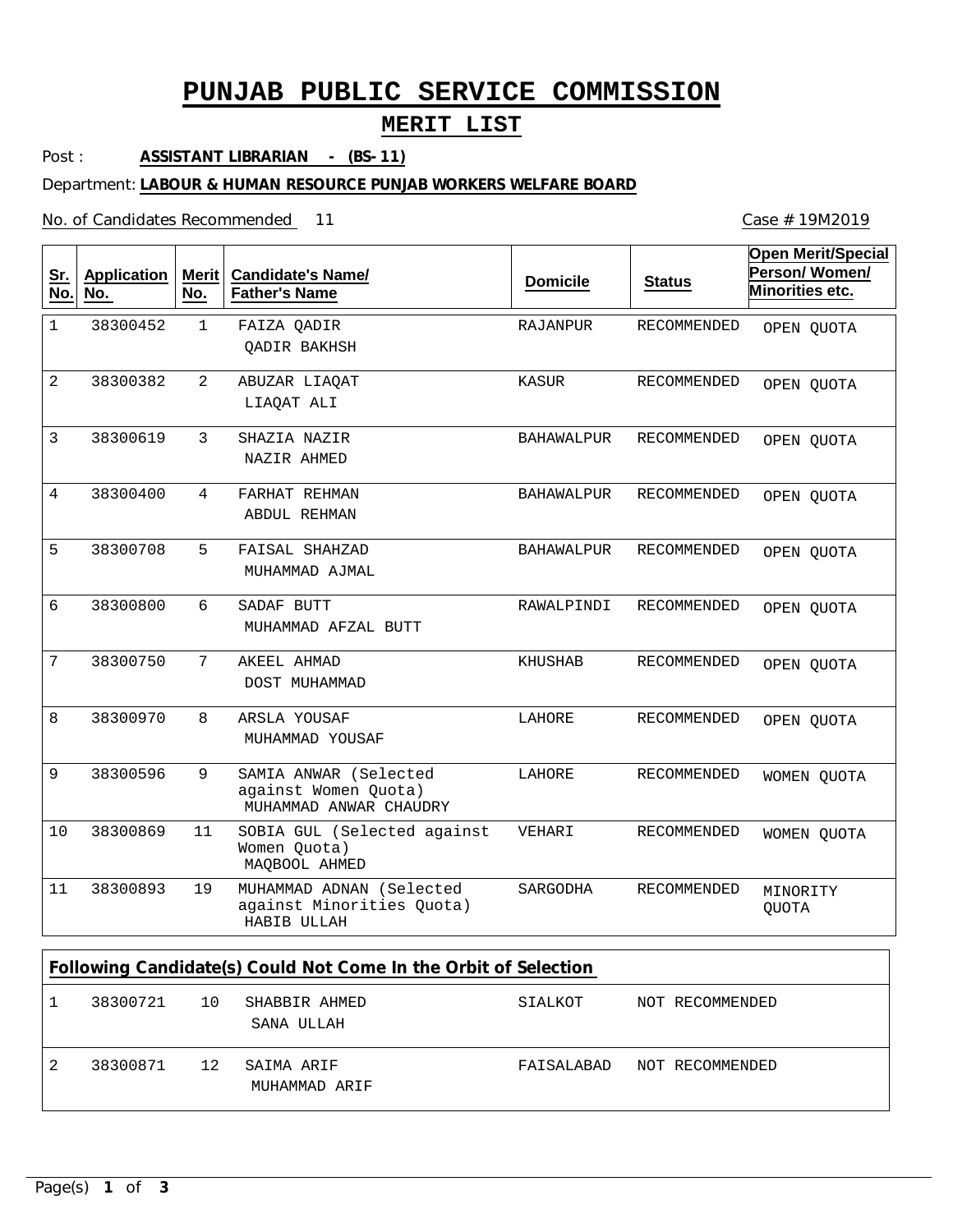# **PUNJAB PUBLIC SERVICE COMMISSION**

## **MERIT LIST**

Post : **ASSISTANT LIBRARIAN - (BS-11)**

Department: **LABOUR & HUMAN RESOURCE PUNJAB WORKERS WELFARE BOARD**

No. of Candidates Recommended

1 2 3 4 5 6 7 8 9 11 19 FAIZA QADIR ABUZAR LIAQAT SHAZIA NAZIR FARHAT REHMAN FAISAL SHAHZAD SADAF BUTT AKEEL AHMAD ARSLA YOUSAF SAMIA ANWAR (Selected against Women Quota) SOBIA GUL (Selected against Women Quota) MUHAMMAD ADNAN (Selected against Minorities Quota) QADIR BAKHSH LIAQAT ALI NAZIR AHMED ABDUL REHMAN MUHAMMAD AJMAL MUHAMMAD AFZAL BUTT DOST MUHAMMAD MUHAMMAD YOUSAF MUHAMMAD ANWAR CHAUDRY MAQBOOL AHMED HABIB ULLAH 1 2 3 4 5 6 7 8 9 10 11 38300452 38300382 38300619 38300400 38300708 38300800 38300750 38300970 38300596 38300869 38300893 RAJANPUR KASUR BAHAWALPUR BAHAWALPUR BAHAWALPUR RAWALPINDI KHUSHAB LAHORE LAHORE VEHARI SARGODHA RECOMMENDED RECOMMENDED RECOMMENDED RECOMMENDED RECOMMENDED RECOMMENDED RECOMMENDED RECOMMENDED RECOMMENDED RECOMMENDED RECOMMENDED **Sr. No. Application No. Merit No. Candidate's Name/ Father's Name Domicile Status Open Merit/Special Person/ Women/ Minorities etc. Following Candidate(s) Could Not Come In the Orbit of Selection** OPEN QUOTA OPEN QUOTA OPEN QUOTA OPEN QUOTA OPEN QUOTA OPEN QUOTA OPEN QUOTA OPEN QUOTA WOMEN QUOTA WOMEN QUOTA MINORITY **OUOTA** 

|   | 38300721 | 10 | SHABBIR AHMED<br>SANA ULLAH | SIALKOT                    | NOT RECOMMENDED |
|---|----------|----|-----------------------------|----------------------------|-----------------|
| 2 | 38300871 | 12 | SAIMA ARIF<br>MUHAMMAD ARIF | FAISALABAD NOT RECOMMENDED |                 |

Case # 19M2019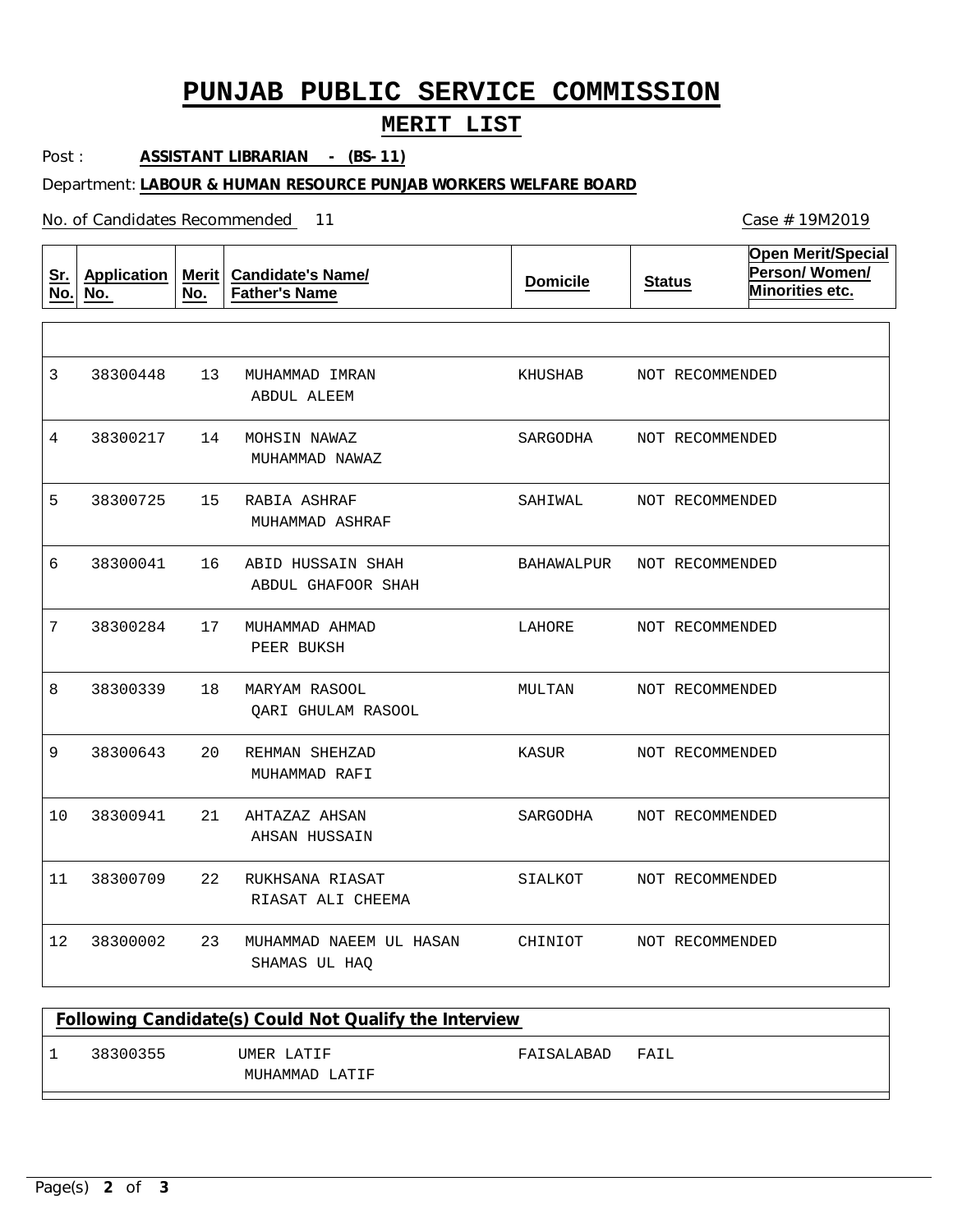# **PUNJAB PUBLIC SERVICE COMMISSION**

## **MERIT LIST**

Post : **ASSISTANT LIBRARIAN - (BS-11)**

Department: **LABOUR & HUMAN RESOURCE PUNJAB WORKERS WELFARE BOARD**

No. of Candidates Recommended

| <u>Sr.</u><br>No. | <b>Application</b><br>No. | <b>Merit</b><br>No. | <b>Candidate's Name/</b><br><b>Father's Name</b> | <b>Domicile</b> | <b>Status</b>   | <b>Open Merit/Special</b><br>Person/Women/<br>Minorities etc. |
|-------------------|---------------------------|---------------------|--------------------------------------------------|-----------------|-----------------|---------------------------------------------------------------|
|                   |                           |                     |                                                  |                 |                 |                                                               |
| 3                 | 38300448                  | 13                  | MUHAMMAD IMRAN<br>ABDUL ALEEM                    | KHUSHAB         | NOT RECOMMENDED |                                                               |
| 4                 | 38300217                  | 14                  | MOHSIN NAWAZ<br>MUHAMMAD NAWAZ                   | SARGODHA        | NOT RECOMMENDED |                                                               |
| 5                 | 38300725                  | 15                  | RABIA ASHRAF<br>MUHAMMAD ASHRAF                  | SAHIWAL         | NOT RECOMMENDED |                                                               |
| 6                 | 38300041                  | 16                  | ABID HUSSAIN SHAH<br>ABDUL GHAFOOR SHAH          | BAHAWALPUR      | NOT RECOMMENDED |                                                               |
| 7                 | 38300284                  | 17                  | MUHAMMAD AHMAD<br>PEER BUKSH                     | LAHORE          | NOT RECOMMENDED |                                                               |
| 8                 | 38300339                  | 18                  | MARYAM RASOOL<br>QARI GHULAM RASOOL              | MULTAN          | NOT RECOMMENDED |                                                               |
| 9                 | 38300643                  | 20                  | REHMAN SHEHZAD<br>MUHAMMAD RAFI                  | KASUR           | NOT RECOMMENDED |                                                               |
| 10                | 38300941                  | 21                  | AHTAZAZ AHSAN<br>AHSAN HUSSAIN                   | SARGODHA        | NOT RECOMMENDED |                                                               |
| 11                | 38300709                  | 22                  | RUKHSANA RIASAT<br>RIASAT ALI CHEEMA             | SIALKOT         | NOT RECOMMENDED |                                                               |
| 12                | 38300002                  | 23                  | MUHAMMAD NAEEM UL HASAN<br>SHAMAS UL HAQ         | CHINIOT         | NOT RECOMMENDED |                                                               |

|          | Following Candidate(s) Could Not Qualify the Interview |            |       |  |
|----------|--------------------------------------------------------|------------|-------|--|
| 38300355 | IJMER LATIF<br>MUHAMMAD LATIF                          | FAISALABAD | FATT. |  |
|          |                                                        |            |       |  |